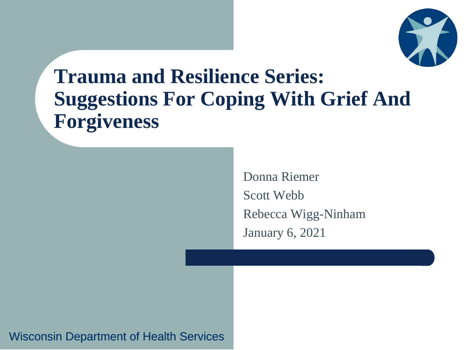

### **Trauma and Resilience Series: Suggestions For Coping With Grief And Forgiveness**

Donna Riemer Scott Webb Rebecca Wigg-Ninham January 6, 2021

Wisconsin Department of Health Services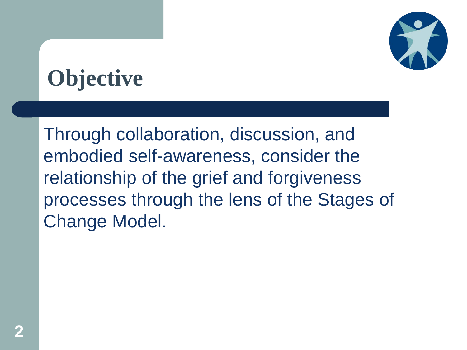

# **Objective**

Through collaboration, discussion, and embodied self-awareness, consider the relationship of the grief and forgiveness processes through the lens of the Stages of Change Model.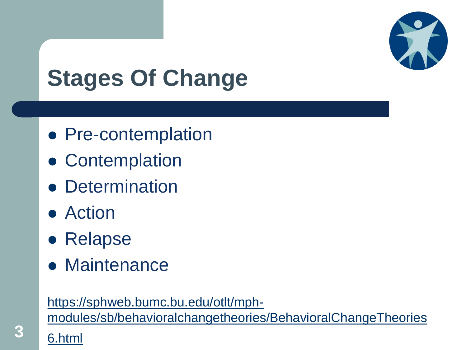

# **Stages Of Change**

- Pre-contemplation
- Contemplation
- **Determination**
- Action
- **Relapse**
- Maintenance

#### https://sphweb.bumc.bu.edu/otlt/mph-

[modules/sb/behavioralchangetheories/BehavioralChangeTheories](https://sphweb.bumc.bu.edu/otlt/mph-modules/sb/behavioralchangetheories/BehavioralChangeTheories6.html)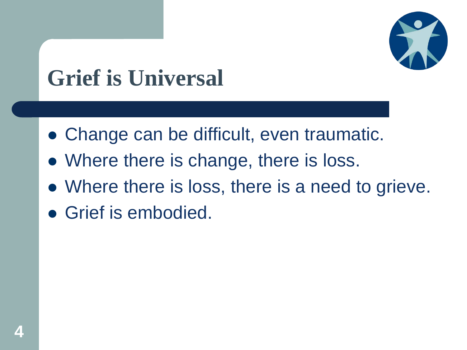

# **Grief is Universal**

- Change can be difficult, even traumatic.
- Where there is change, there is loss.
- Where there is loss, there is a need to grieve.
- Grief is embodied.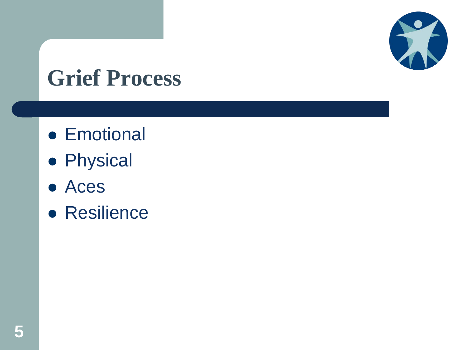

## **Grief Process**

- **•** Emotional
- **•** Physical
- Aces
- **Resilience**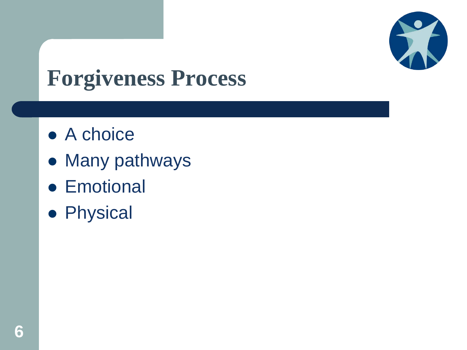

# **Forgiveness Process**

- A choice
- Many pathways
- **•** Emotional
- **•** Physical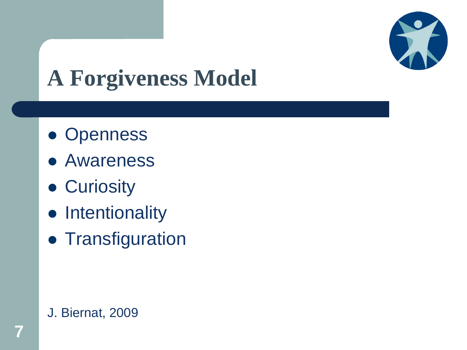

# **A Forgiveness Model**

- Openness
- Awareness
- **Curiosity**
- Intentionality
- **Transfiguration**

#### J. Biernat, 2009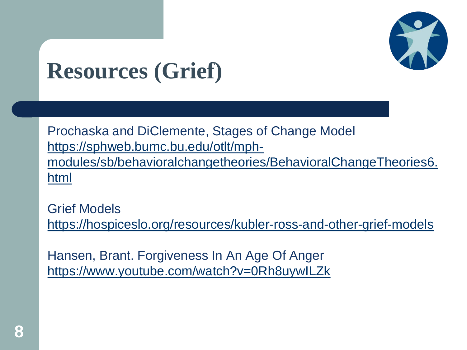

## **Resources (Grief)**

Prochaska and DiClemente, Stages of Change Model https://sphweb.bumc.bu.edu/otlt/mph[modules/sb/behavioralchangetheories/BehavioralChangeTheories6.](https://sphweb.bumc.bu.edu/otlt/mph-modules/sb/behavioralchangetheories/BehavioralChangeTheories6.html) html

Grief Models <https://hospiceslo.org/resources/kubler-ross-and-other-grief-models>

Hansen, Brant. Forgiveness In An Age Of Anger <https://www.youtube.com/watch?v=0Rh8uywILZk>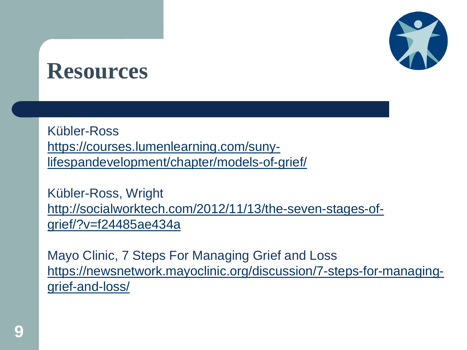

Kübler-Ross https://courses.lumenlearning.com/suny[lifespandevelopment/chapter/models-of-grief/](https://courses.lumenlearning.com/suny-lifespandevelopment/chapter/models-of-grief/)

Kübler-Ross, Wright [http://socialworktech.com/2012/11/13/the-seven-stages-of](http://socialworktech.com/2012/11/13/the-seven-stages-of-grief/?v=f24485ae434a)grief/?v=f24485ae434a

Mayo Clinic, 7 Steps For Managing Grief and Loss [https://newsnetwork.mayoclinic.org/discussion/7-steps-for-managing](https://newsnetwork.mayoclinic.org/discussion/7-steps-for-managing-grief-and-loss/)grief-and-loss/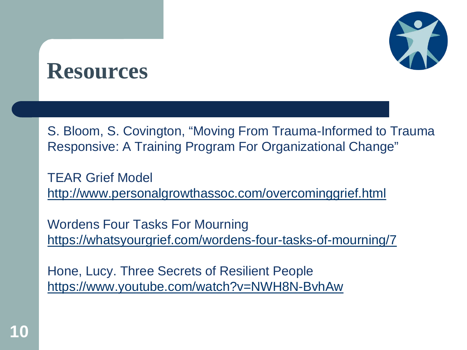

S. Bloom, S. Covington, "Moving From Trauma-Informed to Trauma Responsive: A Training Program For Organizational Change"

TEAR Grief Model <http://www.personalgrowthassoc.com/overcominggrief.html>

Wordens Four Tasks For Mourning <https://whatsyourgrief.com/wordens-four-tasks-of-mourning/7>

Hone, Lucy. Three Secrets of Resilient People <https://www.youtube.com/watch?v=NWH8N-BvhAw>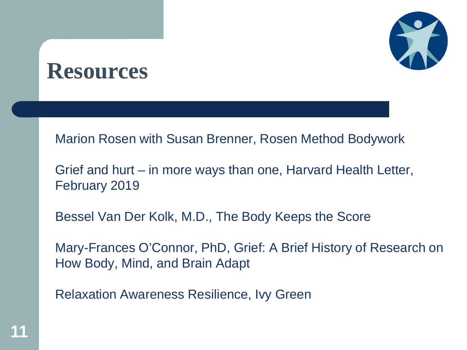

Marion Rosen with Susan Brenner, Rosen Method Bodywork

Grief and hurt – in more ways than one, Harvard Health Letter, February 2019

Bessel Van Der Kolk, M.D., The Body Keeps the Score

Mary-Frances O'Connor, PhD, Grief: A Brief History of Research on How Body, Mind, and Brain Adapt

Relaxation Awareness Resilience, Ivy Green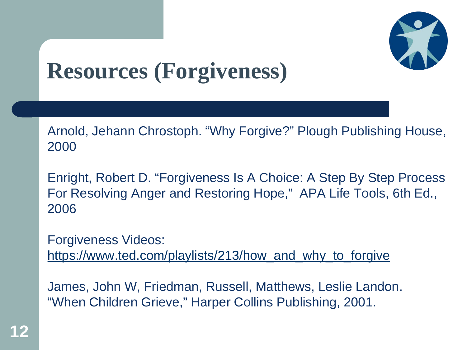

# **Resources (Forgiveness)**

Arnold, Jehann Chrostoph. "Why Forgive?" Plough Publishing House, 2000

Enright, Robert D. "Forgiveness Is A Choice: A Step By Step Process For Resolving Anger and Restoring Hope," APA Life Tools, 6th Ed., 2006

Forgiveness Videos: [https://www.ted.com/playlists/213/how\\_and\\_why\\_to\\_forgive](https://www.ted.com/playlists/213/how_and_why_to_forgive)

James, John W, Friedman, Russell, Matthews, Leslie Landon. "When Children Grieve," Harper Collins Publishing, 2001.